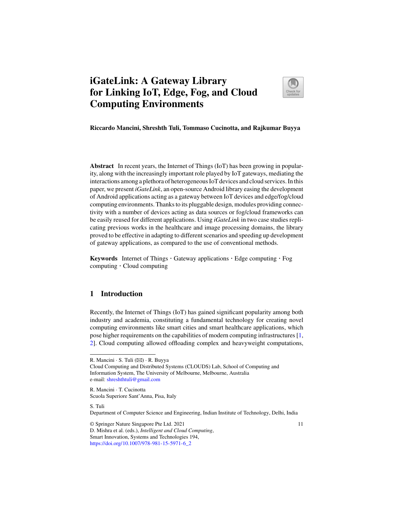# iGateLink: A Gateway Library for Linking IoT, Edge, Fog, and Cloud Computing Environments



Riccardo Mancini, Shreshth Tuli, Tommaso Cucinotta, and Rajkumar Buyya

Abstract In recent years, the Internet of Things (IoT) has been growing in popularity, along with the increasingly important role played by IoT gateways, mediating the interactions among a plethora of heterogeneous IoT devices and cloud services. In this paper, we present iGateLink, an open-source Android library easing the development of Android applications acting as a gateway between IoT devices and edge/fog/cloud computing environments. Thanks to its pluggable design, modules providing connectivity with a number of devices acting as data sources or fog/cloud frameworks can be easily reused for different applications. Using *iGateLink* in two case studies replicating previous works in the healthcare and image processing domains, the library proved to be effective in adapting to different scenarios and speeding up development of gateway applications, as compared to the use of conventional methods.

**Keywords** Internet of Things  $\cdot$  Gateway applications  $\cdot$  Edge computing  $\cdot$  Fog computing · Cloud computing

## 1 Introduction

Recently, the Internet of Things (IoT) has gained significant popularity among both industry and academia, constituting a fundamental technology for creating novel computing environments like smart cities and smart healthcare applications, which pose higher requirements on the capabilities of modern computing infrastructures [1, 2]. Cloud computing allowed offloading complex and heavyweight computations,

R. Mancini · T. Cucinotta Scuola Superiore Sant'Anna, Pisa, Italy

S. Tuli

© Springer Nature Singapore Pte Ltd. 2021

https://doi.org/10.1007/978-981-15-5971-6\_2

R. Mancini · S. Tuli (B) · R. Buyya

Cloud Computing and Distributed Systems (CLOUDS) Lab, School of Computing and Information System, The University of Melbourne, Melbourne, Australia e-mail: shreshthtuli@gmail.com

Department of Computer Science and Engineering, Indian Institute of Technology, Delhi, India

D. Mishra et al. (eds.), Intelligent and Cloud Computing, Smart Innovation, Systems and Technologies 194,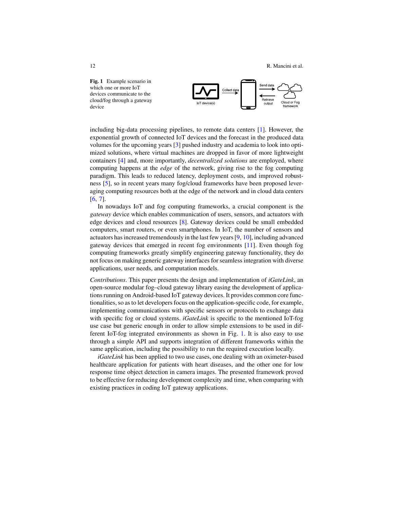

including big-data processing pipelines, to remote data centers [1]. However, the exponential growth of connected IoT devices and the forecast in the produced data volumes for the upcoming years [3] pushed industry and academia to look into optimized solutions, where virtual machines are dropped in favor of more lightweight containers [4] and, more importantly, decentralized solutions are employed, where computing happens at the edge of the network, giving rise to the fog computing paradigm. This leads to reduced latency, deployment costs, and improved robustness [5], so in recent years many fog/cloud frameworks have been proposed leveraging computing resources both at the edge of the network and in cloud data centers [6, 7].

In nowadays IoT and fog computing frameworks, a crucial component is the gateway device which enables communication of users, sensors, and actuators with edge devices and cloud resources [8]. Gateway devices could be small embedded computers, smart routers, or even smartphones. In IoT, the number of sensors and actuators has increased tremendously in the last few years [9, 10], including advanced gateway devices that emerged in recent fog environments [11]. Even though fog computing frameworks greatly simplify engineering gateway functionality, they do not focus on making generic gateway interfaces for seamless integration with diverse applications, user needs, and computation models.

Contributions. This paper presents the design and implementation of *iGateLink*, an open-source modular fog–cloud gateway library easing the development of applications running on Android-based IoT gateway devices. It provides common core functionalities, so as to let developers focus on the application-specific code, for example, implementing communications with specific sensors or protocols to exchange data with specific fog or cloud systems. *iGateLink* is specific to the mentioned IoT-fog use case but generic enough in order to allow simple extensions to be used in different IoT-fog integrated environments as shown in Fig. 1. It is also easy to use through a simple API and supports integration of different frameworks within the same application, including the possibility to run the required execution locally.

iGateLink has been applied to two use cases, one dealing with an oximeter-based healthcare application for patients with heart diseases, and the other one for low response time object detection in camera images. The presented framework proved to be effective for reducing development complexity and time, when comparing with existing practices in coding IoT gateway applications.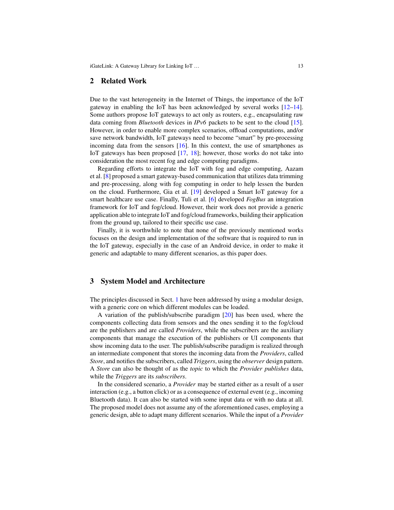### 2 Related Work

Due to the vast heterogeneity in the Internet of Things, the importance of the IoT gateway in enabling the IoT has been acknowledged by several works [12–14]. Some authors propose IoT gateways to act only as routers, e.g., encapsulating raw data coming from *Bluetooth* devices in *IPv6* packets to be sent to the cloud [15]. However, in order to enable more complex scenarios, offload computations, and/or save network bandwidth, IoT gateways need to become "smart" by pre-processing incoming data from the sensors  $[16]$ . In this context, the use of smartphones as IoT gateways has been proposed [17, 18]; however, those works do not take into consideration the most recent fog and edge computing paradigms.

Regarding efforts to integrate the IoT with fog and edge computing, Aazam et al. [8] proposed a smart gateway-based communication that utilizes data trimming and pre-processing, along with fog computing in order to help lessen the burden on the cloud. Furthermore, Gia et al. [19] developed a Smart IoT gateway for a smart healthcare use case. Finally, Tuli et al. [6] developed *FogBus* an integration framework for IoT and fog/cloud. However, their work does not provide a generic application able to integrate IoT and fog/cloud frameworks, building their application from the ground up, tailored to their specific use case.

Finally, it is worthwhile to note that none of the previously mentioned works focuses on the design and implementation of the software that is required to run in the IoT gateway, especially in the case of an Android device, in order to make it generic and adaptable to many different scenarios, as this paper does.

#### 3 System Model and Architecture

The principles discussed in Sect. 1 have been addressed by using a modular design, with a generic core on which different modules can be loaded.

A variation of the publish/subscribe paradigm [20] has been used, where the components collecting data from sensors and the ones sending it to the fog/cloud are the publishers and are called Providers, while the subscribers are the auxiliary components that manage the execution of the publishers or UI components that show incoming data to the user. The publish/subscribe paradigm is realized through an intermediate component that stores the incoming data from the Providers, called Store, and notifies the subscribers, called Triggers, using the *observer* design pattern. A Store can also be thought of as the topic to which the Provider publishes data, while the *Triggers* are its *subscribers*.

In the considered scenario, a Provider may be started either as a result of a user interaction (e.g., a button click) or as a consequence of external event (e.g., incoming Bluetooth data). It can also be started with some input data or with no data at all. The proposed model does not assume any of the aforementioned cases, employing a generic design, able to adapt many different scenarios. While the input of a Provider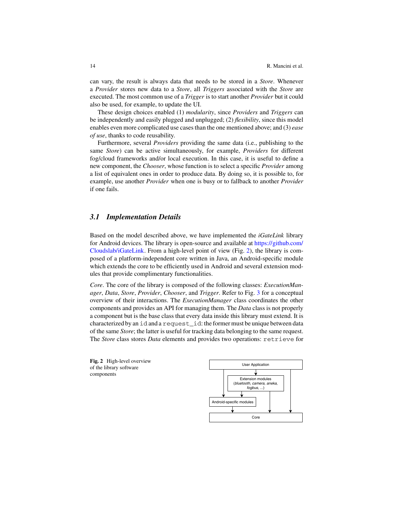can vary, the result is always data that needs to be stored in a Store. Whenever a Provider stores new data to a Store, all Triggers associated with the Store are executed. The most common use of a *Trigger* is to start another *Provider* but it could also be used, for example, to update the UI.

These design choices enabled (1) *modularity*, since *Providers* and *Triggers* can be independently and easily plugged and unplugged; (2) *flexibility*, since this model enables even more complicated use cases than the one mentioned above; and (3) ease of use, thanks to code reusability.

Furthermore, several Providers providing the same data (i.e., publishing to the same Store) can be active simultaneously, for example, Providers for different fog/cloud frameworks and/or local execution. In this case, it is useful to define a new component, the *Chooser*, whose function is to select a specific *Provider* among a list of equivalent ones in order to produce data. By doing so, it is possible to, for example, use another *Provider* when one is busy or to fallback to another *Provider* if one fails.

### 3.1 Implementation Details

Based on the model described above, we have implemented the iGateLink library for Android devices. The library is open-source and available at https://github.com/ Cloudslab/iGateLink. From a high-level point of view (Fig. 2), the library is composed of a platform-independent core written in Java, an Android-specific module which extends the core to be efficiently used in Android and several extension modules that provide complimentary functionalities.

Core. The core of the library is composed of the following classes: ExecutionManager, Data, Store, Provider, Chooser, and Trigger. Refer to Fig. 3 for a conceptual overview of their interactions. The ExecutionManager class coordinates the other components and provides an API for managing them. The Data class is not properly a component but is the base class that every data inside this library must extend. It is characterized by an id and a request\_id: the former must be unique between data of the same Store; the latter is useful for tracking data belonging to the same request. The Store class stores Data elements and provides two operations: retrieve for



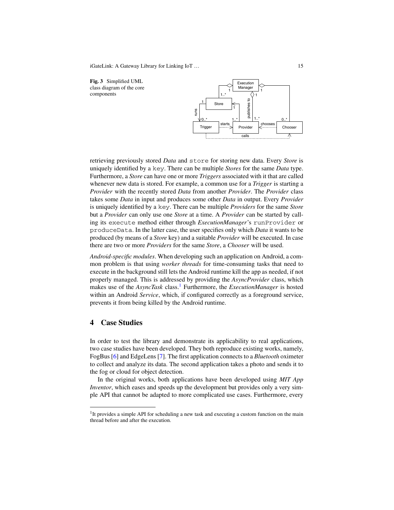iGateLink: A Gateway Library for Linking IoT … 15





retrieving previously stored Data and store for storing new data. Every Store is uniquely identified by a key. There can be multiple Stores for the same Data type. Furthermore, a Store can have one or more Triggers associated with it that are called whenever new data is stored. For example, a common use for a *Trigger* is starting a Provider with the recently stored Data from another Provider. The Provider class takes some *Data* in input and produces some other *Data* in output. Every *Provider* is uniquely identified by a key. There can be multiple Providers for the same Store but a Provider can only use one Store at a time. A Provider can be started by calling its execute method either through ExecutionManager's runProvider or produceData. In the latter case, the user specifies only which Data it wants to be produced (by means of a Store key) and a suitable Provider will be executed. In case there are two or more Providers for the same Store, a Chooser will be used.

Android-specific modules. When developing such an application on Android, a common problem is that using worker threads for time-consuming tasks that need to execute in the background still lets the Android runtime kill the app as needed, if not properly managed. This is addressed by providing the AsyncProvider class, which makes use of the  $AsyncTask$  class.<sup>1</sup> Furthermore, the *ExecutionManager* is hosted within an Android Service, which, if configured correctly as a foreground service, prevents it from being killed by the Android runtime.

## 4 Case Studies

In order to test the library and demonstrate its applicability to real applications, two case studies have been developed. They both reproduce existing works, namely, FogBus [6] and EdgeLens [7]. The first application connects to a Bluetooth oximeter to collect and analyze its data. The second application takes a photo and sends it to the fog or cloud for object detection.

In the original works, both applications have been developed using MIT App Inventor, which eases and speeds up the development but provides only a very simple API that cannot be adapted to more complicated use cases. Furthermore, every

<sup>&</sup>lt;sup>1</sup>It provides a simple API for scheduling a new task and executing a custom function on the main thread before and after the execution.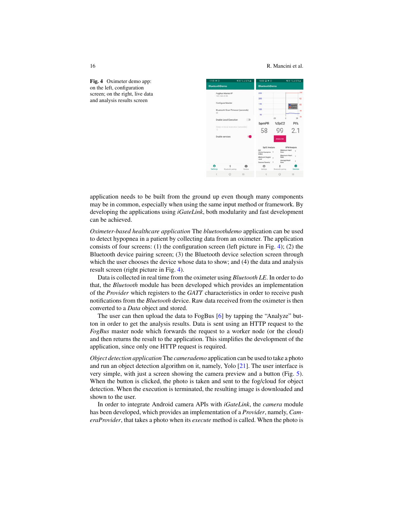16 R. Mancini et al.





application needs to be built from the ground up even though many components may be in common, especially when using the same input method or framework. By developing the applications using *iGateLink*, both modularity and fast development can be achieved.

Oximeter-based healthcare application The bluetoothdemo application can be used to detect hypopnea in a patient by collecting data from an oximeter. The application consists of four screens: (1) the configuration screen (left picture in Fig. 4); (2) the Bluetooth device pairing screen; (3) the Bluetooth device selection screen through which the user chooses the device whose data to show; and (4) the data and analysis result screen (right picture in Fig. 4).

Data is collected in real time from the oximeter using Bluetooth LE. In order to do that, the Bluetooth module has been developed which provides an implementation of the Provider which registers to the GATT characteristics in order to receive push notifications from the Bluetooth device. Raw data received from the oximeter is then converted to a Data object and stored.

The user can then upload the data to FogBus [6] by tapping the "Analyze" button in order to get the analysis results. Data is sent using an HTTP request to the FogBus master node which forwards the request to a worker node (or the cloud) and then returns the result to the application. This simplifies the development of the application, since only one HTTP request is required.

Object detection application The camerademo application can be used to take a photo and run an object detection algorithm on it, namely, Yolo  $[21]$ . The user interface is very simple, with just a screen showing the camera preview and a button (Fig. 5). When the button is clicked, the photo is taken and sent to the fog/cloud for object detection. When the execution is terminated, the resulting image is downloaded and shown to the user.

In order to integrate Android camera APIs with *iGateLink*, the *camera* module has been developed, which provides an implementation of a Provider, namely, CameraProvider, that takes a photo when its execute method is called. When the photo is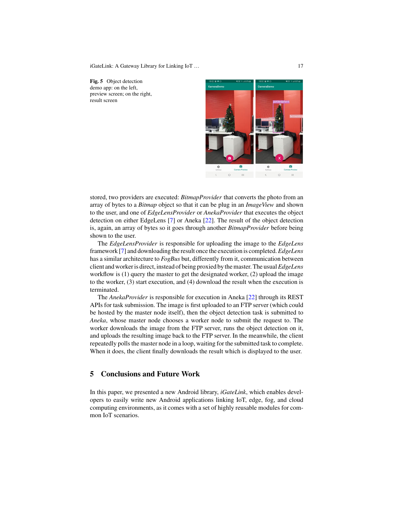iGateLink: A Gateway Library for Linking IoT … 17

Fig. 5 Object detection demo app: on the left, preview screen; on the right, result screen



stored, two providers are executed: BitmapProvider that converts the photo from an array of bytes to a Bitmap object so that it can be plug in an ImageView and shown to the user, and one of EdgeLensProvider or AnekaProvider that executes the object detection on either EdgeLens [7] or Aneka [22]. The result of the object detection is, again, an array of bytes so it goes through another BitmapProvider before being shown to the user.

The EdgeLensProvider is responsible for uploading the image to the EdgeLens framework [7] and downloading the result once the execution is completed. EdgeLens has a similar architecture to  $FogBus$  but, differently from it, communication between client and worker is direct, instead of being proxied by the master. The usual *EdgeLens* workflow is (1) query the master to get the designated worker, (2) upload the image to the worker, (3) start execution, and (4) download the result when the execution is terminated.

The AnekaProvider is responsible for execution in Aneka [22] through its REST APIs for task submission. The image is first uploaded to an FTP server (which could be hosted by the master node itself), then the object detection task is submitted to Aneka, whose master node chooses a worker node to submit the request to. The worker downloads the image from the FTP server, runs the object detection on it, and uploads the resulting image back to the FTP server. In the meanwhile, the client repeatedly polls the master node in a loop, waiting for the submitted task to complete. When it does, the client finally downloads the result which is displayed to the user.

### 5 Conclusions and Future Work

In this paper, we presented a new Android library, iGateLink, which enables developers to easily write new Android applications linking IoT, edge, fog, and cloud computing environments, as it comes with a set of highly reusable modules for common IoT scenarios.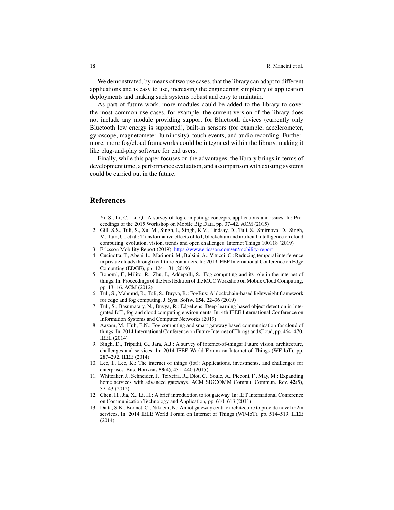We demonstrated, by means of two use cases, that the library can adapt to different applications and is easy to use, increasing the engineering simplicity of application deployments and making such systems robust and easy to maintain.

As part of future work, more modules could be added to the library to cover the most common use cases, for example, the current version of the library does not include any module providing support for Bluetooth devices (currently only Bluetooth low energy is supported), built-in sensors (for example, accelerometer, gyroscope, magnetometer, luminosity), touch events, and audio recording. Furthermore, more fog/cloud frameworks could be integrated within the library, making it like plug-and-play software for end users.

Finally, while this paper focuses on the advantages, the library brings in terms of development time, a performance evaluation, and a comparison with existing systems could be carried out in the future.

#### References

- 1. Yi, S., Li, C., Li, Q.: A survey of fog computing: concepts, applications and issues. In: Proceedings of the 2015 Workshop on Mobile Big Data, pp. 37–42. ACM (2015)
- 2. Gill, S.S., Tuli, S., Xu, M., Singh, I., Singh, K.V., Lindsay, D., Tuli, S., Smirnova, D., Singh, M., Jain, U., et al.: Transformative effects of IoT, blockchain and artificial intelligence on cloud computing: evolution, vision, trends and open challenges. Internet Things 100118 (2019)
- 3. Ericsson Mobility Report (2019). https://www.ericsson.com/en/mobility-report
- 4. Cucinotta, T., Abeni, L., Marinoni, M., Balsini, A., Vitucci, C.: Reducing temporal interference in private clouds through real-time containers. In: 2019 IEEE International Conference on Edge Computing (EDGE), pp. 124–131 (2019)
- 5. Bonomi, F., Milito, R., Zhu, J., Addepalli, S.: Fog computing and its role in the internet of things. In: Proceedings of the First Edition of the MCC Workshop on Mobile Cloud Computing, pp. 13–16. ACM (2012)
- 6. Tuli, S., Mahmud, R., Tuli, S., Buyya, R.: FogBus: A blockchain-based lightweight framework for edge and fog computing. J. Syst. Softw. 154, 22–36 (2019)
- 7. Tuli, S., Basumatary, N., Buyya, R.: EdgeLens: Deep learning based object detection in integrated IoT , fog and cloud computing environments. In: 4th IEEE International Conference on Information Systems and Computer Networks (2019)
- 8. Aazam, M., Huh, E.N.: Fog computing and smart gateway based communication for cloud of things. In: 2014 International Conference on Future Internet of Things and Cloud, pp. 464–470. IEEE (2014)
- 9. Singh, D., Tripathi, G., Jara, A.J.: A survey of internet-of-things: Future vision, architecture, challenges and services. In: 2014 IEEE World Forum on Internet of Things (WF-IoT), pp. 287–292. IEEE (2014)
- 10. Lee, I., Lee, K.: The internet of things (iot): Applications, investments, and challenges for enterprises. Bus. Horizons 58(4), 431–440 (2015)
- 11. Whiteaker, J., Schneider, F., Teixeira, R., Diot, C., Soule, A., Picconi, F., May, M.: Expanding home services with advanced gateways. ACM SIGCOMM Comput. Commun. Rev. 42(5), 37–43 (2012)
- 12. Chen, H., Jia, X., Li, H.: A brief introduction to iot gateway. In: IET International Conference on Communication Technology and Application, pp. 610–613 (2011)
- 13. Datta, S.K., Bonnet, C., Nikaein, N.: An iot gateway centric architecture to provide novel m2m services. In: 2014 IEEE World Forum on Internet of Things (WF-IoT), pp. 514–519. IEEE (2014)